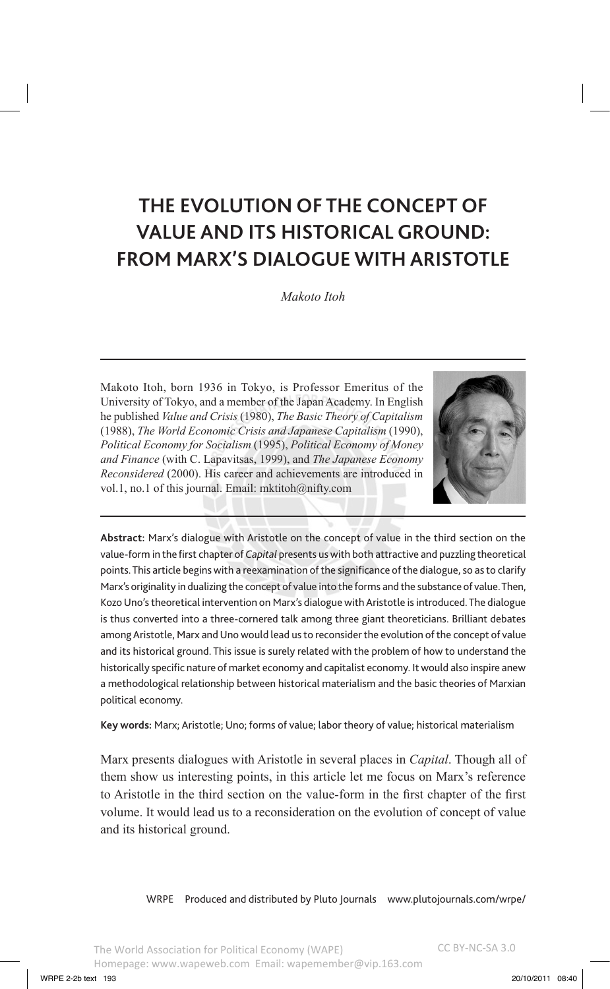# **THE EVOLUTION OF THE CONCEPT OF VALUE AND ITS HISTORICAL GROUND: FROM MARX'S DIALOGUE WITH ARISTOTLE**

*Makoto Itoh*

Makoto Itoh, born 1936 in Tokyo, is Professor Emeritus of the University of Tokyo, and a member of the Japan Academy. In English he published *Value and Crisis* (1980), *The Basic Theory of Capitalism* (1988), *The World Economic Crisis and Japanese Capitalism* (1990), *Political Economy for Socialism* (1995), *Political Economy of Money and Finance* (with C. Lapavitsas, 1999), and *The Japanese Economy Reconsidered* (2000). His career and achievements are introduced in vol.1, no.1 of this journal. Email: mktitoh@nifty.com



**Abstract:** Marx's dialogue with Aristotle on the concept of value in the third section on the value-form in the first chapter of *Capital* presents us with both attractive and puzzling theoretical points. This article begins with a reexamination of the significance of the dialogue, so as to clarify Marx's originality in dualizing the concept of value into the forms and the substance of value. Then, Kozo Uno's theoretical intervention on Marx's dialogue with Aristotle is introduced. The dialogue is thus converted into a three-cornered talk among three giant theoreticians. Brilliant debates among Aristotle, Marx and Uno would lead us to reconsider the evolution of the concept of value and its historical ground. This issue is surely related with the problem of how to understand the historically specific nature of market economy and capitalist economy. It would also inspire anew a methodological relationship between historical materialism and the basic theories of Marxian political economy.

**Key words:** Marx; Aristotle; Uno; forms of value; labor theory of value; historical materialism

Marx presents dialogues with Aristotle in several places in *Capital*. Though all of them show us interesting points, in this article let me focus on Marx's reference to Aristotle in the third section on the value-form in the first chapter of the first volume. It would lead us to a reconsideration on the evolution of concept of value and its historical ground.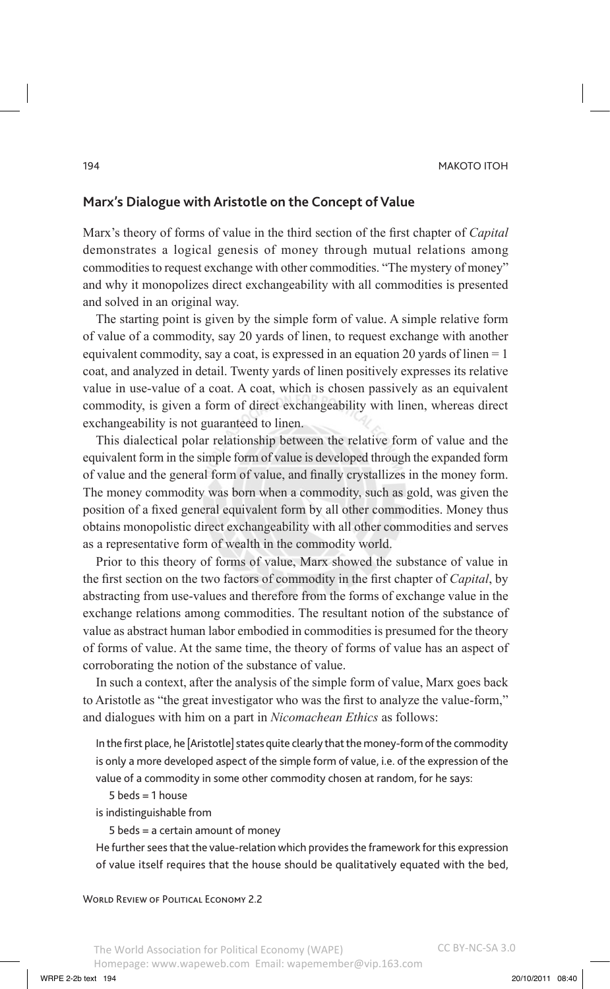# **Marx's Dialogue with Aristotle on the Concept of Value**

Marx's theory of forms of value in the third section of the first chapter of *Capital*  demonstrates a logical genesis of money through mutual relations among commodities to request exchange with other commodities. "The mystery of money" and why it monopolizes direct exchangeability with all commodities is presented and solved in an original way.

The starting point is given by the simple form of value. A simple relative form of value of a commodity, say 20 yards of linen, to request exchange with another equivalent commodity, say a coat, is expressed in an equation 20 yards of linen = 1 coat, and analyzed in detail. Twenty yards of linen positively expresses its relative value in use-value of a coat. A coat, which is chosen passively as an equivalent commodity, is given a form of direct exchangeability with linen, whereas direct exchangeability is not guaranteed to linen.

This dialectical polar relationship between the relative form of value and the equivalent form in the simple form of value is developed through the expanded form of value and the general form of value, and finally crystallizes in the money form. The money commodity was born when a commodity, such as gold, was given the position of a fixed general equivalent form by all other commodities. Money thus obtains monopolistic direct exchangeability with all other commodities and serves as a representative form of wealth in the commodity world.

Prior to this theory of forms of value, Marx showed the substance of value in the first section on the two factors of commodity in the first chapter of *Capital*, by abstracting from use-values and therefore from the forms of exchange value in the exchange relations among commodities. The resultant notion of the substance of value as abstract human labor embodied in commodities is presumed for the theory of forms of value. At the same time, the theory of forms of value has an aspect of corroborating the notion of the substance of value.

In such a context, after the analysis of the simple form of value, Marx goes back to Aristotle as "the great investigator who was the first to analyze the value-form," and dialogues with him on a part in *Nicomachean Ethics* as follows:

In the first place, he [Aristotle] states quite clearly that the money-form of the commodity is only a more developed aspect of the simple form of value, i.e. of the expression of the value of a commodity in some other commodity chosen at random, for he says:

5 beds = 1 house

is indistinguishable from

5 beds = a certain amount of money

He further sees that the value-relation which provides the framework for this expression of value itself requires that the house should be qualitatively equated with the bed,

WORLD REVIEW OF POLITICAL ECONOMY 2.2

CC BY-NC-SA 3.0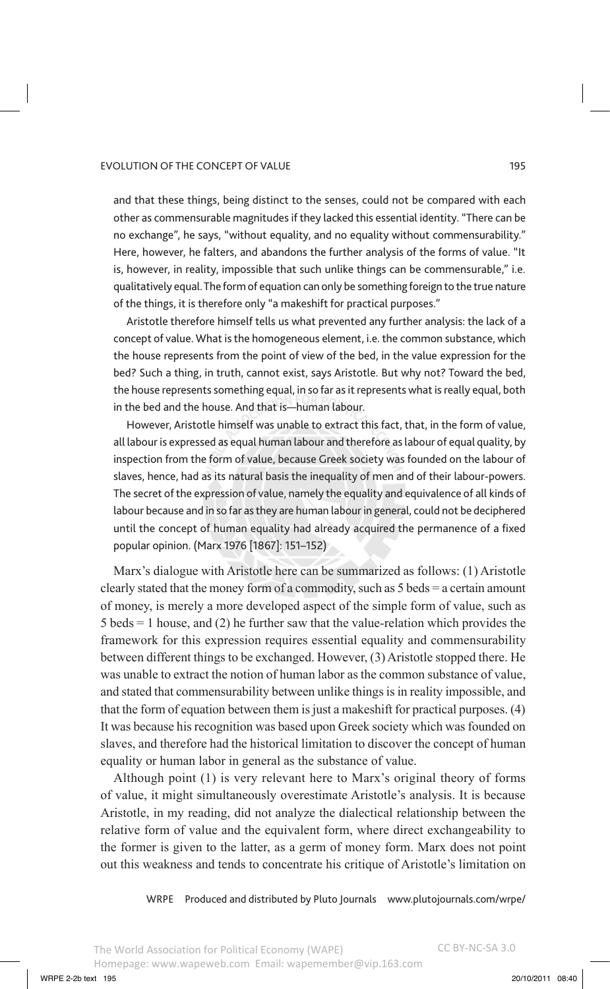and that these things, being distinct to the senses, could not be compared with each other as commensurable magnitudes if they lacked this essential identity. "There can be no exchange", he says, "without equality, and no equality without commensurability." Here, however, he falters, and abandons the further analysis of the forms of value. "It is, however, in reality, impossible that such unlike things can be commensurable," i.e. qualitatively equal. The form of equation can only be something foreign to the true nature of the things, it is therefore only "a makeshift for practical purposes."

Aristotle therefore himself tells us what prevented any further analysis: the lack of a concept of value. What is the homogeneous element, i.e. the common substance, which the house represents from the point of view of the bed, in the value expression for the bed? Such a thing, in truth, cannot exist, says Aristotle. But why not? Toward the bed, the house represents something equal, in so far as it represents what is really equal, both in the bed and the house. And that is—human labour.

However, Aristotle himself was unable to extract this fact, that, in the form of value, all labour is expressed as equal human labour and therefore as labour of equal quality, by inspection from the form of value, because Greek society was founded on the labour of slaves, hence, had as its natural basis the inequality of men and of their labour-powers. The secret of the expression of value, namely the equality and equivalence of all kinds of labour because and in so far as they are human labour in general, could not be deciphered until the concept of human equality had already acquired the permanence of a fixed popular opinion. (Marx 1976 [1867]: 151–152)

Marx's dialogue with Aristotle here can be summarized as follows: (1) Aristotle clearly stated that the money form of a commodity, such as 5 beds = a certain amount of money, is merely a more developed aspect of the simple form of value, such as 5 beds = 1 house, and (2) he further saw that the value-relation which provides the framework for this expression requires essential equality and commensurability between different things to be exchanged. However, (3) Aristotle stopped there. He was unable to extract the notion of human labor as the common substance of value, and stated that commensurability between unlike things is in reality impossible, and that the form of equation between them is just a makeshift for practical purposes. (4) It was because his recognition was based upon Greek society which was founded on slaves, and therefore had the historical limitation to discover the concept of human equality or human labor in general as the substance of value.

Although point (1) is very relevant here to Marx's original theory of forms of value, it might simultaneously overestimate Aristotle's analysis. It is because Aristotle, in my reading, did not analyze the dialectical relationship between the relative form of value and the equivalent form, where direct exchangeability to the former is given to the latter, as a germ of money form. Marx does not point out this weakness and tends to concentrate his critique of Aristotle's limitation on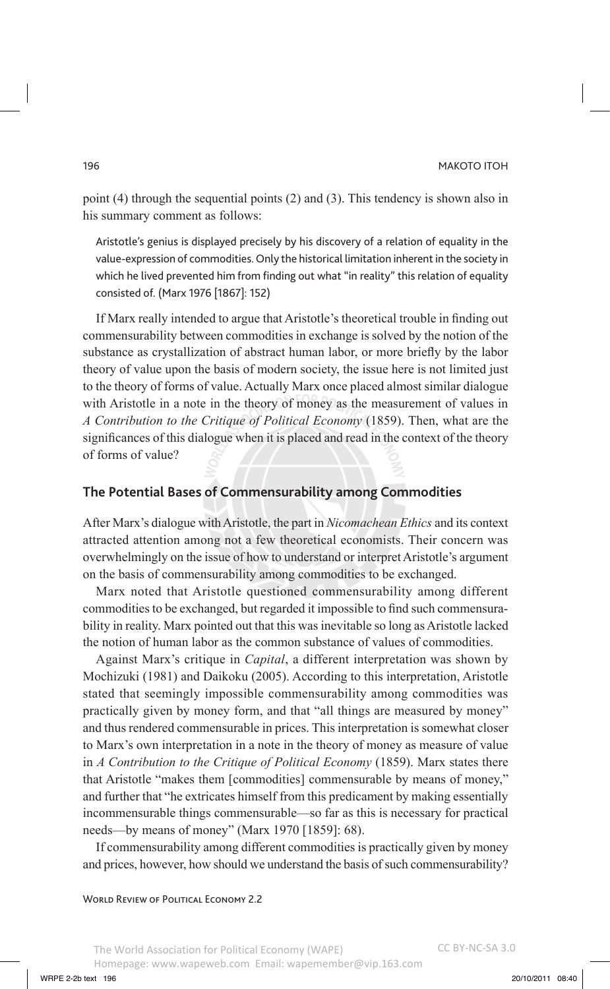point (4) through the sequential points (2) and (3). This tendency is shown also in his summary comment as follows:

Aristotle's genius is displayed precisely by his discovery of a relation of equality in the value-expression of commodities. Only the historical limitation inherent in the society in which he lived prevented him from finding out what "in reality" this relation of equality consisted of. (Marx 1976 [1867]: 152)

If Marx really intended to argue that Aristotle's theoretical trouble in finding out commensurability between commodities in exchange is solved by the notion of the substance as crystallization of abstract human labor, or more briefly by the labor theory of value upon the basis of modern society, the issue here is not limited just to the theory of forms of value. Actually Marx once placed almost similar dialogue with Aristotle in a note in the theory of money as the measurement of values in *A Contribution to the Critique of Political Economy* (1859). Then, what are the significances of this dialogue when it is placed and read in the context of the theory of forms of value?

# **The Potential Bases of Commensurability among Commodities**

After Marx's dialogue with Aristotle, the part in *Nicomachean Ethics* and its context attracted attention among not a few theoretical economists. Their concern was overwhelmingly on the issue of how to understand or interpret Aristotle's argument on the basis of commensurability among commodities to be exchanged.

Marx noted that Aristotle questioned commensurability among different commodities to be exchanged, but regarded it impossible to find such commensurability in reality. Marx pointed out that this was inevitable so long as Aristotle lacked the notion of human labor as the common substance of values of commodities.

Against Marx's critique in *Capital*, a different interpretation was shown by Mochizuki (1981) and Daikoku (2005). According to this interpretation, Aristotle stated that seemingly impossible commensurability among commodities was practically given by money form, and that "all things are measured by money" and thus rendered commensurable in prices. This interpretation is somewhat closer to Marx's own interpretation in a note in the theory of money as measure of value in *A Contribution to the Critique of Political Economy* (1859). Marx states there that Aristotle "makes them [commodities] commensurable by means of money," and further that "he extricates himself from this predicament by making essentially incommensurable things commensurable—so far as this is necessary for practical needs—by means of money" (Marx 1970 [1859]: 68).

If commensurability among different commodities is practically given by money and prices, however, how should we understand the basis of such commensurability?

WORLD REVIEW OF POLITICAL ECONOMY 2.2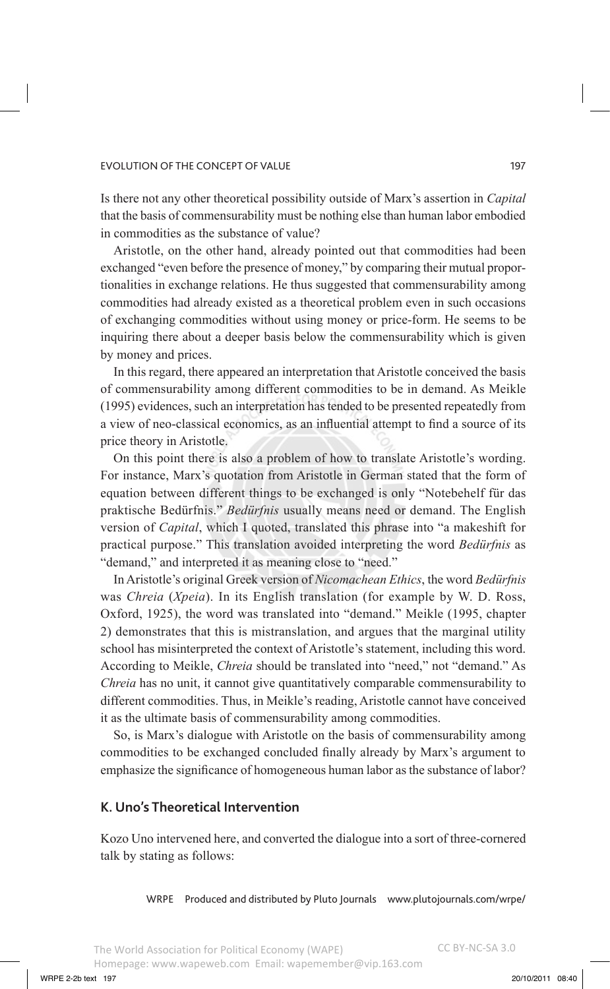Is there not any other theoretical possibility outside of Marx's assertion in *Capital* that the basis of commensurability must be nothing else than human labor embodied in commodities as the substance of value?

Aristotle, on the other hand, already pointed out that commodities had been exchanged "even before the presence of money," by comparing their mutual proportionalities in exchange relations. He thus suggested that commensurability among commodities had already existed as a theoretical problem even in such occasions of exchanging commodities without using money or price-form. He seems to be inquiring there about a deeper basis below the commensurability which is given by money and prices.

In this regard, there appeared an interpretation that Aristotle conceived the basis of commensurability among different commodities to be in demand. As Meikle (1995) evidences, such an interpretation has tended to be presented repeatedly from a view of neo-classical economics, as an influential attempt to find a source of its price theory in Aristotle.

On this point there is also a problem of how to translate Aristotle's wording. For instance, Marx's quotation from Aristotle in German stated that the form of equation between different things to be exchanged is only "Notebehelf für das praktische Bedürfnis." *Bedürfnis* usually means need or demand. The English version of *Capital*, which I quoted, translated this phrase into "a makeshift for practical purpose." This translation avoided interpreting the word *Bedürfnis* as "demand," and interpreted it as meaning close to "need."

In Aristotle's original Greek version of *Nicomachean Ethics*, the word *Bedürfnis* was *Chreia* (*Xpeia*). In its English translation (for example by W. D. Ross, Oxford, 1925), the word was translated into "demand." Meikle (1995, chapter 2) demonstrates that this is mistranslation, and argues that the marginal utility school has misinterpreted the context of Aristotle's statement, including this word. According to Meikle, *Chreia* should be translated into "need," not "demand." As *Chreia* has no unit, it cannot give quantitatively comparable commensurability to different commodities. Thus, in Meikle's reading, Aristotle cannot have conceived it as the ultimate basis of commensurability among commodities.

So, is Marx's dialogue with Aristotle on the basis of commensurability among commodities to be exchanged concluded finally already by Marx's argument to emphasize the significance of homogeneous human labor as the substance of labor?

# **K. Uno's Theoretical Intervention**

Kozo Uno intervened here, and converted the dialogue into a sort of three-cornered talk by stating as follows: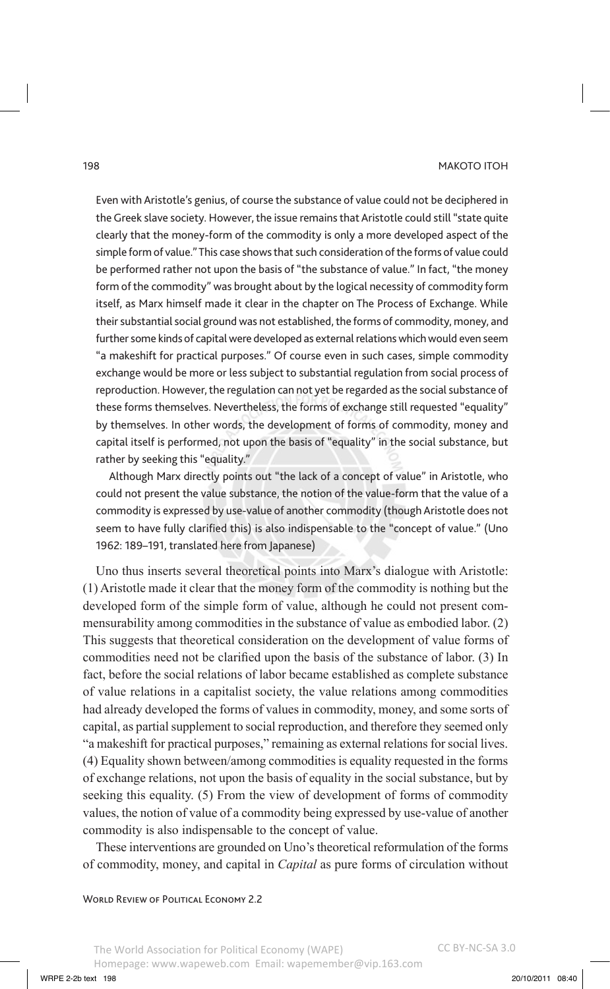#### 198 Makoto Itoh

Even with Aristotle's genius, of course the substance of value could not be deciphered in the Greek slave society. However, the issue remains that Aristotle could still "state quite clearly that the money-form of the commodity is only a more developed aspect of the simple form of value." This case shows that such consideration of the forms of value could be performed rather not upon the basis of "the substance of value." In fact, "the money form of the commodity" was brought about by the logical necessity of commodity form itself, as Marx himself made it clear in the chapter on The Process of Exchange. While their substantial social ground was not established, the forms of commodity, money, and further some kinds of capital were developed as external relations which would even seem "a makeshift for practical purposes." Of course even in such cases, simple commodity exchange would be more or less subject to substantial regulation from social process of reproduction. However, the regulation can not yet be regarded as the social substance of these forms themselves. Nevertheless, the forms of exchange still requested "equality" by themselves. In other words, the development of forms of commodity, money and capital itself is performed, not upon the basis of "equality" in the social substance, but rather by seeking this "equality."

Although Marx directly points out "the lack of a concept of value" in Aristotle, who could not present the value substance, the notion of the value-form that the value of a commodity is expressed by use-value of another commodity (though Aristotle does not seem to have fully clarified this) is also indispensable to the "concept of value." (Uno 1962: 189–191, translated here from Japanese)

Uno thus inserts several theoretical points into Marx's dialogue with Aristotle: (1) Aristotle made it clear that the money form of the commodity is nothing but the developed form of the simple form of value, although he could not present commensurability among commodities in the substance of value as embodied labor. (2) This suggests that theoretical consideration on the development of value forms of commodities need not be clarified upon the basis of the substance of labor. (3) In fact, before the social relations of labor became established as complete substance of value relations in a capitalist society, the value relations among commodities had already developed the forms of values in commodity, money, and some sorts of capital, as partial supplement to social reproduction, and therefore they seemed only "a makeshift for practical purposes," remaining as external relations for social lives. (4) Equality shown between/among commodities is equality requested in the forms of exchange relations, not upon the basis of equality in the social substance, but by seeking this equality. (5) From the view of development of forms of commodity values, the notion of value of a commodity being expressed by use-value of another commodity is also indispensable to the concept of value.

These interventions are grounded on Uno's theoretical reformulation of the forms of commodity, money, and capital in *Capital* as pure forms of circulation without

WORLD REVIEW OF POLITICAL ECONOMY 2.2

The World Association for Political Economy (WAPE) Homepage: www.wapeweb.com Email: wapemember@vip.163.com CC BY-NC-SA 3.0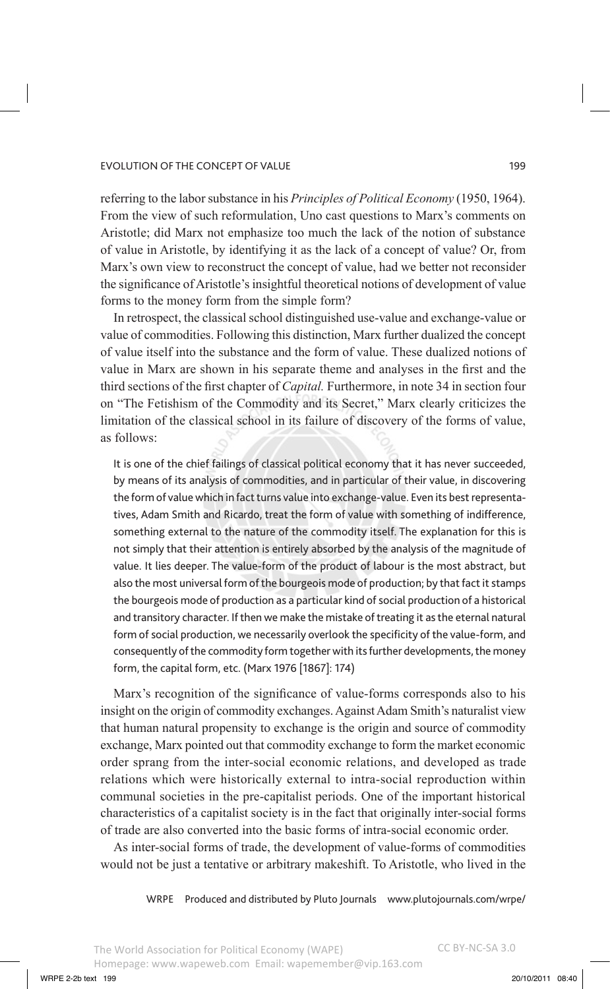referring to the labor substance in his *Principles of Political Economy* (1950, 1964). From the view of such reformulation, Uno cast questions to Marx's comments on Aristotle; did Marx not emphasize too much the lack of the notion of substance of value in Aristotle, by identifying it as the lack of a concept of value? Or, from Marx's own view to reconstruct the concept of value, had we better not reconsider the significance of Aristotle's insightful theoretical notions of development of value forms to the money form from the simple form?

In retrospect, the classical school distinguished use-value and exchange-value or value of commodities. Following this distinction, Marx further dualized the concept of value itself into the substance and the form of value. These dualized notions of value in Marx are shown in his separate theme and analyses in the first and the third sections of the first chapter of *Capital.* Furthermore, in note 34 in section four on "The Fetishism of the Commodity and its Secret," Marx clearly criticizes the limitation of the classical school in its failure of discovery of the forms of value, as follows:

It is one of the chief failings of classical political economy that it has never succeeded, by means of its analysis of commodities, and in particular of their value, in discovering the form of value which in fact turns value into exchange-value. Even its best representatives, Adam Smith and Ricardo, treat the form of value with something of indifference, something external to the nature of the commodity itself. The explanation for this is not simply that their attention is entirely absorbed by the analysis of the magnitude of value. It lies deeper. The value-form of the product of labour is the most abstract, but also the most universal form of the bourgeois mode of production; by that fact it stamps the bourgeois mode of production as a particular kind of social production of a historical and transitory character. If then we make the mistake of treating it as the eternal natural form of social production, we necessarily overlook the specificity of the value-form, and consequently of the commodity form together with its further developments, the money form, the capital form, etc. (Marx 1976 [1867]: 174)

Marx's recognition of the significance of value-forms corresponds also to his insight on the origin of commodity exchanges. Against Adam Smith's naturalist view that human natural propensity to exchange is the origin and source of commodity exchange, Marx pointed out that commodity exchange to form the market economic order sprang from the inter-social economic relations, and developed as trade relations which were historically external to intra-social reproduction within communal societies in the pre-capitalist periods. One of the important historical characteristics of a capitalist society is in the fact that originally inter-social forms of trade are also converted into the basic forms of intra-social economic order.

As inter-social forms of trade, the development of value-forms of commodities would not be just a tentative or arbitrary makeshift. To Aristotle, who lived in the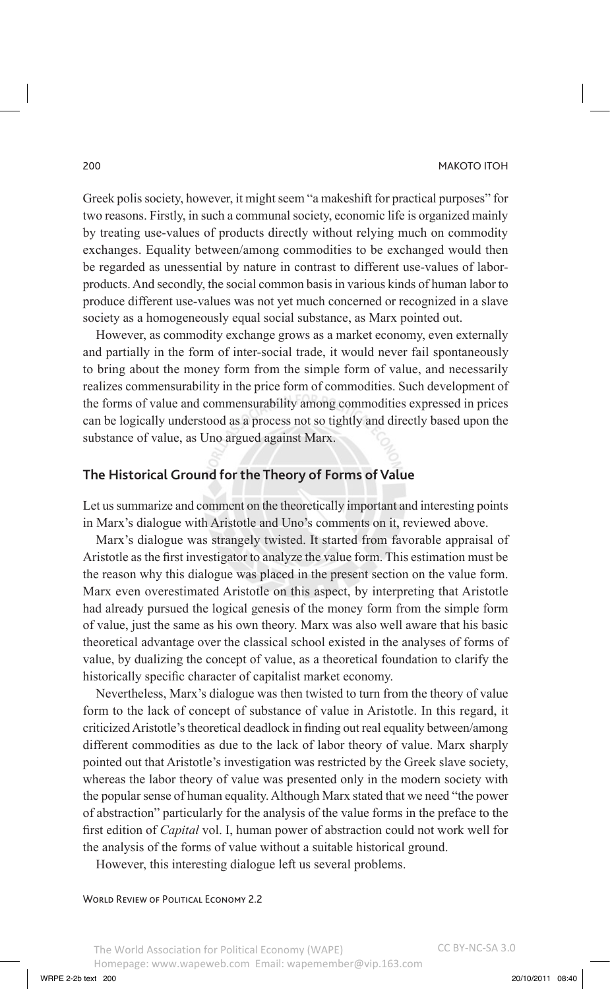Greek polis society, however, it might seem "a makeshift for practical purposes" for two reasons. Firstly, in such a communal society, economic life is organized mainly by treating use-values of products directly without relying much on commodity exchanges. Equality between/among commodities to be exchanged would then be regarded as unessential by nature in contrast to different use-values of laborproducts. And secondly, the social common basis in various kinds of human labor to produce different use-values was not yet much concerned or recognized in a slave society as a homogeneously equal social substance, as Marx pointed out.

However, as commodity exchange grows as a market economy, even externally and partially in the form of inter-social trade, it would never fail spontaneously to bring about the money form from the simple form of value, and necessarily realizes commensurability in the price form of commodities. Such development of the forms of value and commensurability among commodities expressed in prices can be logically understood as a process not so tightly and directly based upon the substance of value, as Uno argued against Marx.

# **The Historical Ground for the Theory of Forms of Value**

Let us summarize and comment on the theoretically important and interesting points in Marx's dialogue with Aristotle and Uno's comments on it, reviewed above.

Marx's dialogue was strangely twisted. It started from favorable appraisal of Aristotle as the first investigator to analyze the value form. This estimation must be the reason why this dialogue was placed in the present section on the value form. Marx even overestimated Aristotle on this aspect, by interpreting that Aristotle had already pursued the logical genesis of the money form from the simple form of value, just the same as his own theory. Marx was also well aware that his basic theoretical advantage over the classical school existed in the analyses of forms of value, by dualizing the concept of value, as a theoretical foundation to clarify the historically specific character of capitalist market economy.

Nevertheless, Marx's dialogue was then twisted to turn from the theory of value form to the lack of concept of substance of value in Aristotle. In this regard, it criticized Aristotle's theoretical deadlock in finding out real equality between/among different commodities as due to the lack of labor theory of value. Marx sharply pointed out that Aristotle's investigation was restricted by the Greek slave society, whereas the labor theory of value was presented only in the modern society with the popular sense of human equality. Although Marx stated that we need "the power of abstraction" particularly for the analysis of the value forms in the preface to the first edition of *Capital* vol. I, human power of abstraction could not work well for the analysis of the forms of value without a suitable historical ground.

However, this interesting dialogue left us several problems.

WORLD REVIEW OF POLITICAL ECONOMY 2.2

The World Association for Political Economy (WAPE) Homepage: www.wapeweb.com Email: wapemember@vip.163.com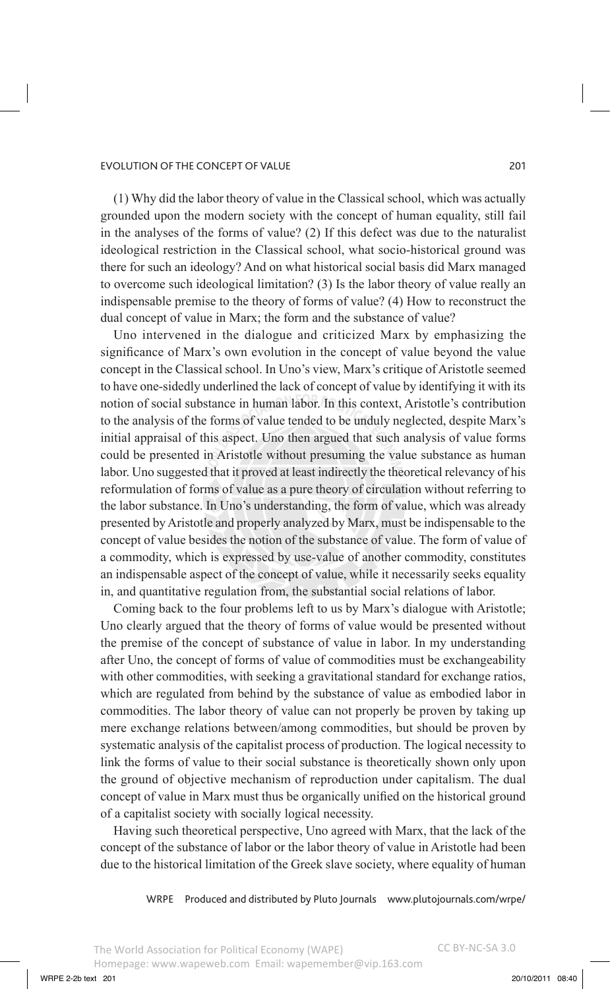(1) Why did the labor theory of value in the Classical school, which was actually grounded upon the modern society with the concept of human equality, still fail in the analyses of the forms of value? (2) If this defect was due to the naturalist ideological restriction in the Classical school, what socio-historical ground was there for such an ideology? And on what historical social basis did Marx managed to overcome such ideological limitation? (3) Is the labor theory of value really an indispensable premise to the theory of forms of value? (4) How to reconstruct the dual concept of value in Marx; the form and the substance of value?

Uno intervened in the dialogue and criticized Marx by emphasizing the significance of Marx's own evolution in the concept of value beyond the value concept in the Classical school. In Uno's view, Marx's critique of Aristotle seemed to have one-sidedly underlined the lack of concept of value by identifying it with its notion of social substance in human labor. In this context, Aristotle's contribution to the analysis of the forms of value tended to be unduly neglected, despite Marx's initial appraisal of this aspect. Uno then argued that such analysis of value forms could be presented in Aristotle without presuming the value substance as human labor. Uno suggested that it proved at least indirectly the theoretical relevancy of his reformulation of forms of value as a pure theory of circulation without referring to the labor substance. In Uno's understanding, the form of value, which was already presented by Aristotle and properly analyzed by Marx, must be indispensable to the concept of value besides the notion of the substance of value. The form of value of a commodity, which is expressed by use-value of another commodity, constitutes an indispensable aspect of the concept of value, while it necessarily seeks equality in, and quantitative regulation from, the substantial social relations of labor.

Coming back to the four problems left to us by Marx's dialogue with Aristotle; Uno clearly argued that the theory of forms of value would be presented without the premise of the concept of substance of value in labor. In my understanding after Uno, the concept of forms of value of commodities must be exchangeability with other commodities, with seeking a gravitational standard for exchange ratios, which are regulated from behind by the substance of value as embodied labor in commodities. The labor theory of value can not properly be proven by taking up mere exchange relations between/among commodities, but should be proven by systematic analysis of the capitalist process of production. The logical necessity to link the forms of value to their social substance is theoretically shown only upon the ground of objective mechanism of reproduction under capitalism. The dual concept of value in Marx must thus be organically unified on the historical ground of a capitalist society with socially logical necessity.

Having such theoretical perspective, Uno agreed with Marx, that the lack of the concept of the substance of labor or the labor theory of value in Aristotle had been due to the historical limitation of the Greek slave society, where equality of human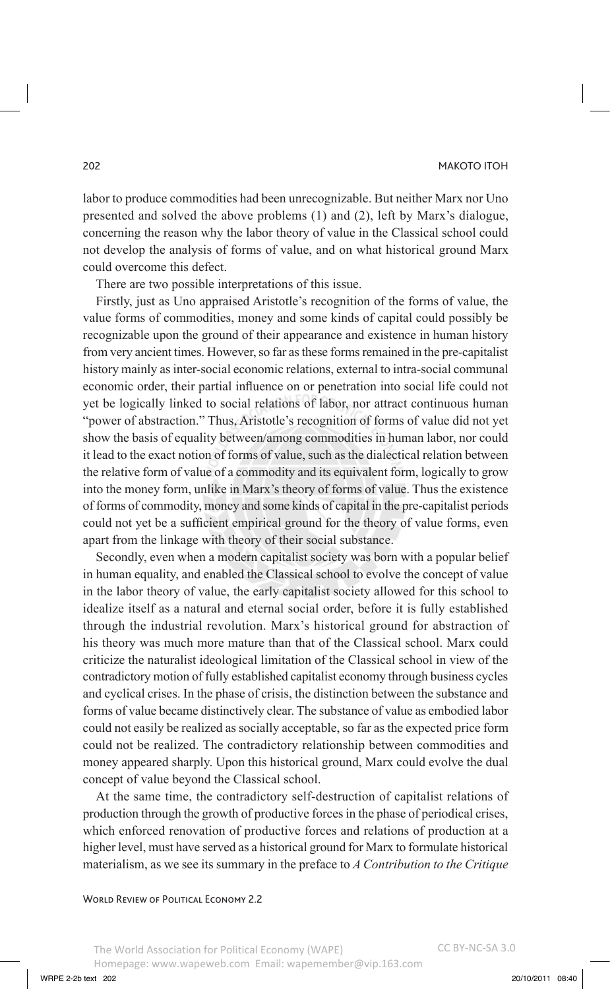labor to produce commodities had been unrecognizable. But neither Marx nor Uno presented and solved the above problems (1) and (2), left by Marx's dialogue, concerning the reason why the labor theory of value in the Classical school could not develop the analysis of forms of value, and on what historical ground Marx could overcome this defect.

There are two possible interpretations of this issue.

Firstly, just as Uno appraised Aristotle's recognition of the forms of value, the value forms of commodities, money and some kinds of capital could possibly be recognizable upon the ground of their appearance and existence in human history from very ancient times. However, so far as these forms remained in the pre-capitalist history mainly as inter-social economic relations, external to intra-social communal economic order, their partial influence on or penetration into social life could not yet be logically linked to social relations of labor, nor attract continuous human "power of abstraction." Thus, Aristotle's recognition of forms of value did not yet show the basis of equality between/among commodities in human labor, nor could it lead to the exact notion of forms of value, such as the dialectical relation between the relative form of value of a commodity and its equivalent form, logically to grow into the money form, unlike in Marx's theory of forms of value. Thus the existence of forms of commodity, money and some kinds of capital in the pre-capitalist periods could not yet be a sufficient empirical ground for the theory of value forms, even apart from the linkage with theory of their social substance.

Secondly, even when a modern capitalist society was born with a popular belief in human equality, and enabled the Classical school to evolve the concept of value in the labor theory of value, the early capitalist society allowed for this school to idealize itself as a natural and eternal social order, before it is fully established through the industrial revolution. Marx's historical ground for abstraction of his theory was much more mature than that of the Classical school. Marx could criticize the naturalist ideological limitation of the Classical school in view of the contradictory motion of fully established capitalist economy through business cycles and cyclical crises. In the phase of crisis, the distinction between the substance and forms of value became distinctively clear. The substance of value as embodied labor could not easily be realized as socially acceptable, so far as the expected price form could not be realized. The contradictory relationship between commodities and money appeared sharply. Upon this historical ground, Marx could evolve the dual concept of value beyond the Classical school.

At the same time, the contradictory self-destruction of capitalist relations of production through the growth of productive forces in the phase of periodical crises, which enforced renovation of productive forces and relations of production at a higher level, must have served as a historical ground for Marx to formulate historical materialism, as we see its summary in the preface to *A Contribution to the Critique* 

#### WORLD REVIEW OF POLITICAL ECONOMY 2.2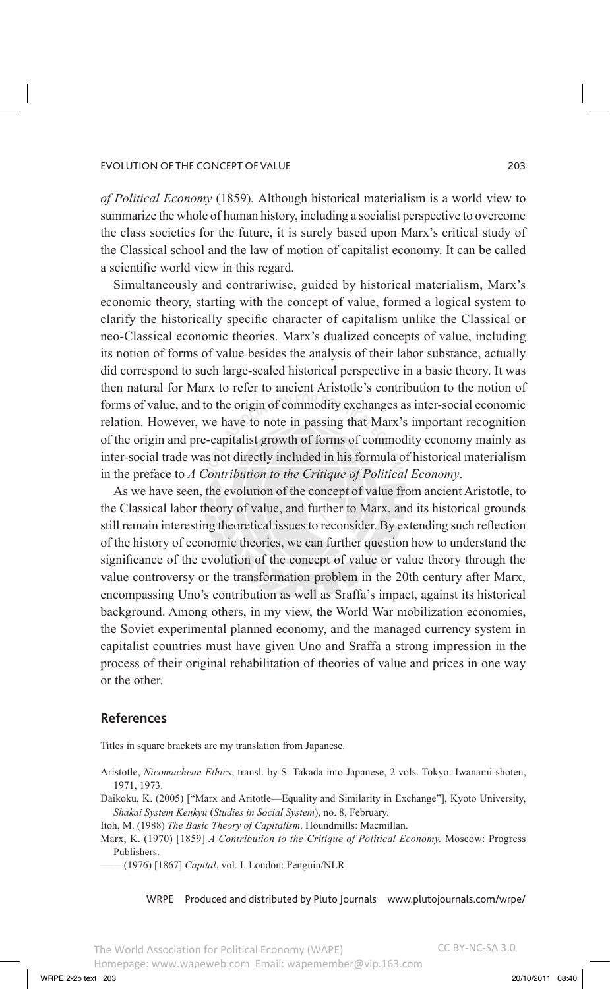*of Political Economy* (1859)*.* Although historical materialism is a world view to summarize the whole of human history, including a socialist perspective to overcome the class societies for the future, it is surely based upon Marx's critical study of the Classical school and the law of motion of capitalist economy. It can be called a scientific world view in this regard.

Simultaneously and contrariwise, guided by historical materialism, Marx's economic theory, starting with the concept of value, formed a logical system to clarify the historically specific character of capitalism unlike the Classical or neo-Classical economic theories. Marx's dualized concepts of value, including its notion of forms of value besides the analysis of their labor substance, actually did correspond to such large-scaled historical perspective in a basic theory. It was then natural for Marx to refer to ancient Aristotle's contribution to the notion of forms of value, and to the origin of commodity exchanges as inter-social economic relation. However, we have to note in passing that Marx's important recognition of the origin and pre-capitalist growth of forms of commodity economy mainly as inter-social trade was not directly included in his formula of historical materialism in the preface to *A Contribution to the Critique of Political Economy*.

As we have seen, the evolution of the concept of value from ancient Aristotle, to the Classical labor theory of value, and further to Marx, and its historical grounds still remain interesting theoretical issues to reconsider. By extending such reflection of the history of economic theories, we can further question how to understand the significance of the evolution of the concept of value or value theory through the value controversy or the transformation problem in the 20th century after Marx, encompassing Uno's contribution as well as Sraffa's impact, against its historical background. Among others, in my view, the World War mobilization economies, the Soviet experimental planned economy, and the managed currency system in capitalist countries must have given Uno and Sraffa a strong impression in the process of their original rehabilitation of theories of value and prices in one way or the other.

## **References**

Titles in square brackets are my translation from Japanese.

Aristotle, *Nicomachean Ethics*, transl. by S. Takada into Japanese, 2 vols. Tokyo: Iwanami-shoten, 1971, 1973.

Daikoku, K. (2005) ["Marx and Aritotle—Equality and Similarity in Exchange"], Kyoto University, *Shakai System Kenkyu* (*Studies in Social System*), no. 8, February.

Itoh, M. (1988) *The Basic Theory of Capitalism*. Houndmills: Macmillan.

Marx, K. (1970) [1859] *A Contribution to the Critique of Political Economy.* Moscow: Progress Publishers.

—— (1976) [1867] *Capital*, vol. I. London: Penguin/NLR.